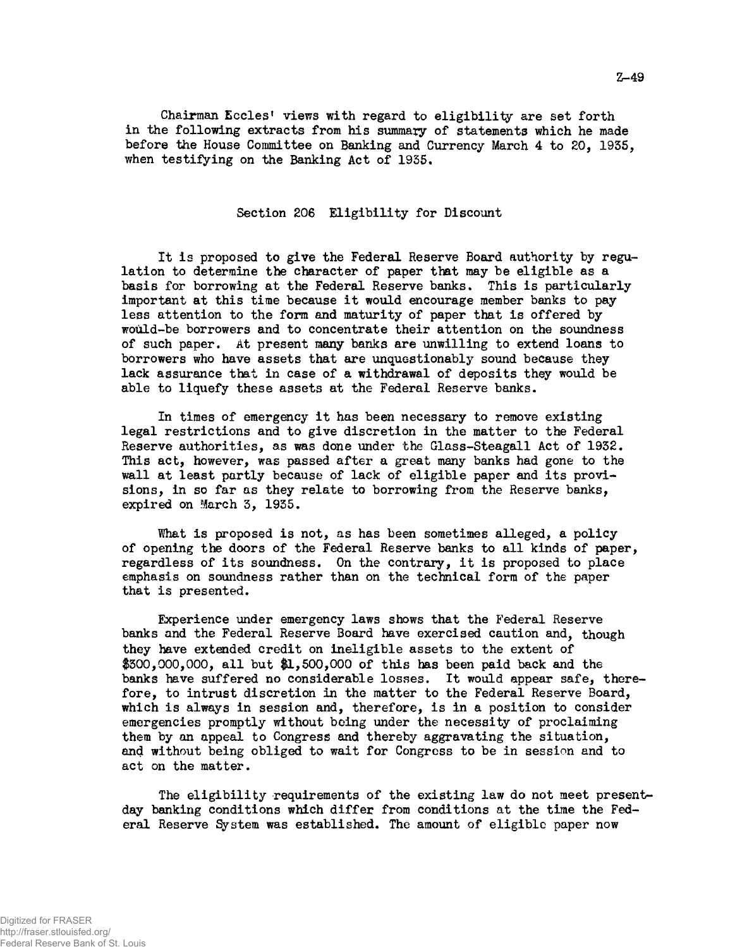Chairman Eccles' views with regard to eligibility are set forth in the following extracts from his summary of statements which he made before the House Committee on Banking and Currency March 4 to 20, 1935, when testifying on the Banking Act of 1935.

## Section 206 Eligibility for Discount

It is proposed to give the Federal Reserve Board authority by regulation to determine the character of paper that may be eligible as a basis for borrowing at the Federal Reserve banks. This is particularly important at this time because it would encourage member banks to pay less attention to the form and maturity of paper that is offered by would-be borrowers and to concentrate their attention on the soundness of such paper. At present many banks are unwilling to extend loans to borrowers who have assets that are unquestionably sound because they lack assurance that in case of a withdrawal of deposits they would be able to liquefy these assets at the Federal Reserve banks.

In times of emergency it has been necessary to remove existing legal restrictions and to give discretion in the matter to the Federal Reserve authorities, as was done under the Glass-Steagall Act of 1932. This act, however, was passed after a great many banks had gone to the wall at least partly because of lack of eligible paper and its provisions, in so far as they relate to borrowing from the Reserve banks, expired on March 3, 1935.

What is proposed is not, as has been sometimes alleged, a policy of opening the doors of the Federal Reserve banks to all kinds of paper, regardless of its soundness. On the contrary, it is proposed to place emphasis on soundness rather than on the technical form of the paper that is presented.

Experience under emergency laws shows that the Federal Reserve banks and the Federal Reserve Board have exercised caution and, though they have extended credit on ineligible assets to the extent of  $$300,000,000$ , all but  $$1,500,000$  of this has been paid back and the banks have suffered no considerable losses. It would appear safe, therefore, to intrust discretion in the matter to the Federal Reserve Board, which is always in session and, therefore, is in a position to consider emergencies promptly without being under the necessity of proclaiming them by an appeal to Congress and thereby aggravating the situation, and without being obliged to wait for Congress to be in session and to act on the matter.

The eligibility requirements of the existing law do not meet presentday banking conditions which differ from conditions at the time the Federal Reserve System was established. The amount of eligible paper now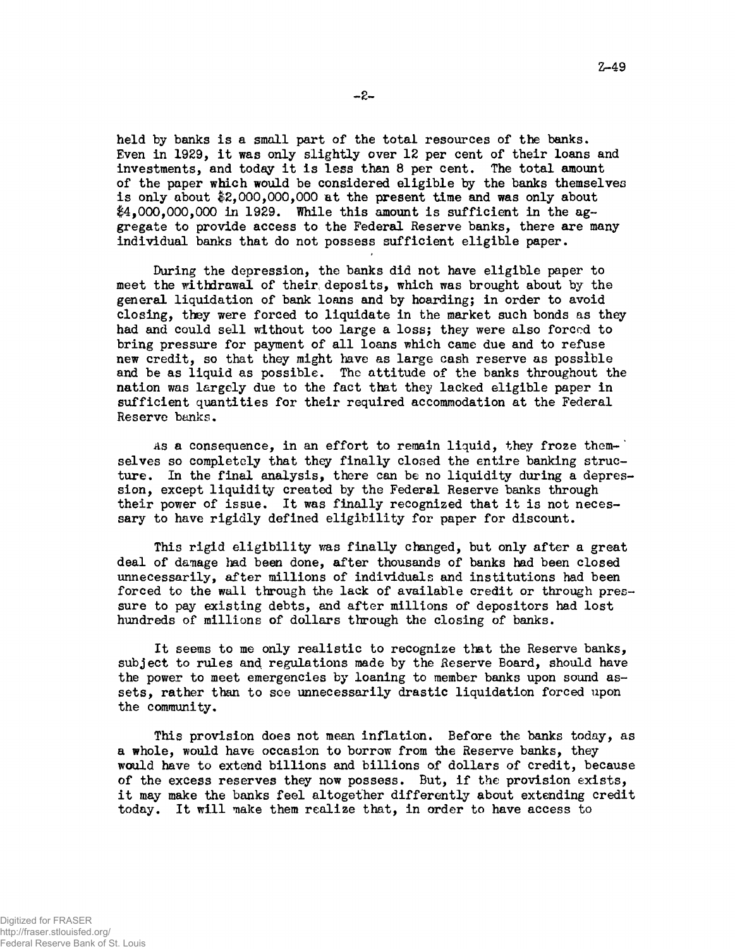held by banks is a small part of the total resources of the banks. Even in 1929, it was only slightly over 12 per cent of their loans and investments, and today it is less than 8 per cent. The total amount of the paper which would be considered eligible by the banks themselves is only about \$2,000,000,000 at the present time and was only about  $$4,000,000,000$  in 1929. While this amount is sufficient in the aggregate to provide access to the Federal Reserve banks, there are many individual banks that do not possess sufficient eligible paper.

During the depression, the banks did not have eligible paper to meet the withdrawal of their, deposits, which was brought about by the general liquidation of bank loans and by hoarding; in order to avoid closing, they were forced to liquidate in the market such bonds as they had and could sell without too large a loss; they were also forced to bring pressure for payment of all loans which came due and to refuse new credit, so that they might have as large cash reserve as possible and be as liquid as possible. The attitude of the banks throughout the nation was largely due to the fact that they lacked eligible paper in sufficient quantities for their required accommodation at the Federal Reserve banks.

As a consequence, in an effort to remain liquid, they froze them- $\cdot$ selves so completely that they finally closed the entire banking structure. In the final analysis, there can be no liquidity during a depression, except liquidity created by the Federal Reserve banks through their power of issue. It was finally recognized that it is not necessary to have rigidly defined eligibility for paper for discount.

This rigid eligibility was finally changed, but only after a great deal of damage bad been done, after thousands of banks had been closed unnecessarily, after millions of individuals and institutions had been forced to the wall through the lack of available credit or through pressure to pay existing debts, and after millions of depositors had lost hundreds of millions of dollars through the closing of banks.

It seems to me only realistic to recognize that the Reserve banks, subject to rules and regulations made by the Reserve Board, should have the power to meet emergencies by loaning to member banks upon sound assets, rather than to see unnecessarily drastic liquidation forced upon the community.

This provision does not mean inflation. Before the banks today, as a whole, would have occasion to borrow from the Reserve banks, they would have to extend billions and billions of dollars of credit, because of the excess reserves they now possess. But, if the provision exists, it may make the banks feel altogether differently about extending credit today. It will make them realize that, in order to have access to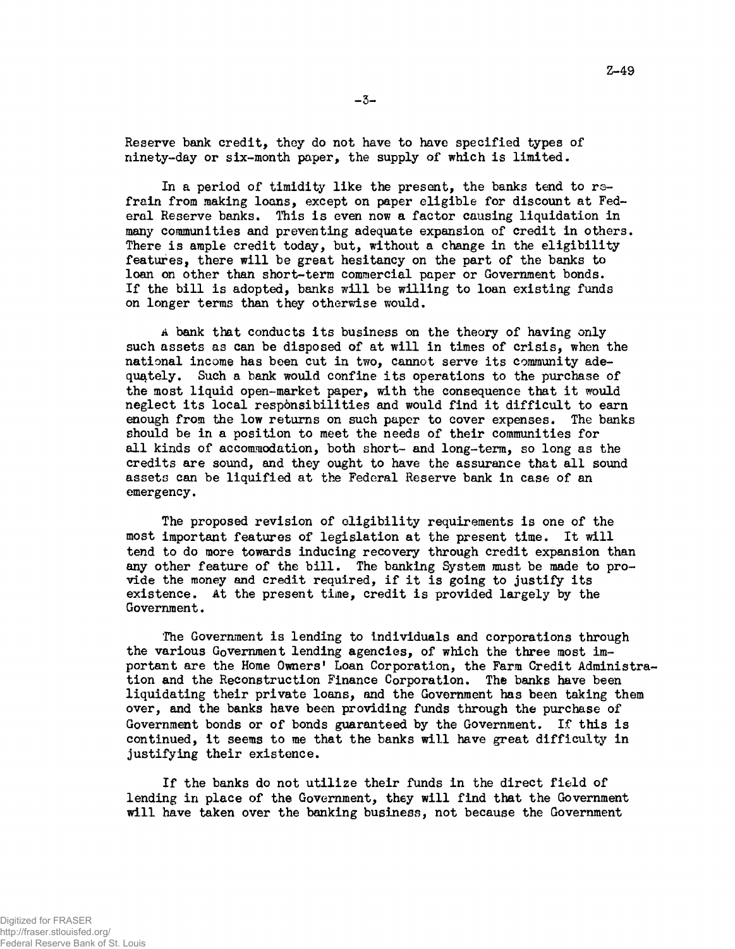Reserve bank credit, they do not have to have specified types of ninety-day or six-month paper, the supply of which is limited.

In a period of timidity like the present, the banks tend to refrain from making loans, except on paper eligible for discount at Federal Reserve banks. This is even now a factor causing liquidation in many communities and preventing adequate expansion of credit in others. There is ample credit today, but, without a change in the eligibility features, there will be great hesitancy on the part of the banks to loan on other than short-term commercial paper or Government bonds. If the bill is adopted, banks will be willing to loan existing funds on longer terms than they otherwise would.

A bank that conducts its business on the theory of having only such assets as can be disposed of at will in times of crisis, when the national income has been cut in two, cannot serve its community adequately. Such a bank would confine its operations to the purchase of the most liquid open-market paper, with the consequence that it would neglect its local responsibilities and would find it difficult to earn enough from the low returns on such paper to cover expenses. The banks should be in a position to meet the needs of their communities for all kinds of accommodation, both short- and long-term, so long as the credits are sound, and they ought to have the assurance that all sound assets can be liquified at the Federal Reserve bank in case of an emergency.

The proposed revision of eligibility requirements is one of the most important features of legislation at the present time. It will tend to do more towards inducing recovery through credit expansion than any other feature of the bill. The banking System must be made to provide the money and credit required, if it is going to justify its existence. At the present time, credit is provided largely by the Government.

The Government is lending to individuals and corporations through the various Government lending agencies, of which the three most important are the Home Owners' Loan Corporation, the Farm Credit Administration and the Reconstruction Finance Corporation. The banks have been liquidating their private loans, and the Government has been taking them over, and the banks have been providing funds through the purchase of Government bonds or of bonds guaranteed by the Government. If this is continued, it seems to me that the banks will have great difficulty in justifying their existence.

If the banks do not utilize their funds in the direct field of lending in place of the Government, they will find that the Government will have taken over the banking business, not because the Government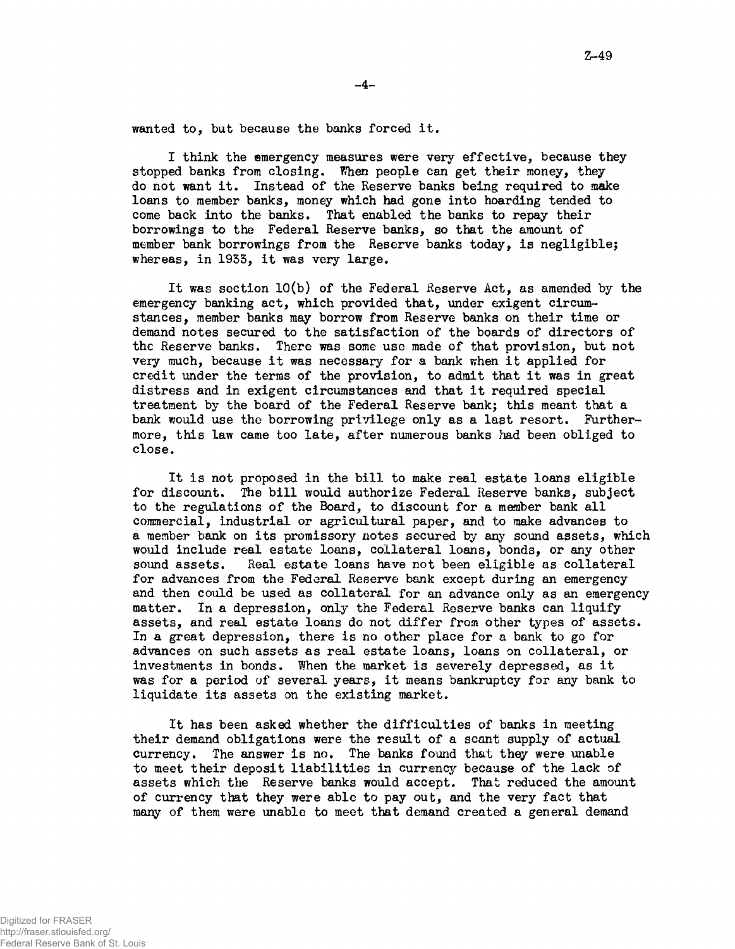wanted to, but because the banks forced it.

I think the emergency measures were very effective, because they stopped banks from closing. When people can get their money, they do not want it. Instead of the Reserve banks being required to make loans to member banks, money which had gone into hoarding tended to come back into the banks. That enabled the banks to repay their borrowings to the Federal Reserve banks, so that the amount of member bank borrowings from the Reserve banks today, is negligible; whereas, in 1953, it was very large.

It was section 10(b) of the Federal Reserve Act, as amended by the emergency banking act, which provided that, under exigent circumstances, member banks may borrow from Reserve banks on their time or demand notes secured to the satisfaction of the boards of directors of the Reserve banks. There was some use made of that provision, but not very much, because it was necessary for a bank when it applied for credit under the terms of the provision, to admit that it was in great distress and in exigent circumstances and that it required special treatment by the board of the Federal Reserve bank; this meant that a bank would use the borrowing privilege only as a last resort. Furthermore, this law came too late, after numerous banks had been obliged to close.

It is not proposed in the bill to make real estate loans eligible for discount. The bill would authorize Federal Reserve banks, subject to the regulations of the Board, to discount for a member bank all commercial, industrial or agricultural paper, and to make advances to a member bank on its promissory notes secured by any sound assets, which would include real estate loans, collateral loans, bonds, or any other sound assets. Real estate loans have not been eligible as collateral for advances from the Federal Reserve bank except during an emergency and then could be used as collateral for an advance only as an emergency matter. In a depression, only the Federal Reserve banks can liquify assets, and real estate loans do not differ from other types of assets. In a great depression, there is no other place for a bank to go for advances on such assets as real estate loans, loans on collateral, or investments in bonds. When the market is severely depressed, as it was for a period of several years, it means bankruptcy for any bank to liquidate its assets on the existing market.

It has been asked whether the difficulties of banks in meeting their demand obligations were the result of a scant supply of actual currency. The answer is no. The banks found that they were unable to meet their deposit liabilities in currency because of the lack of assets which the Reserve banks would accept. That reduced the amount of currency that they were able to pay out, and the very fact that many of them were unable to meet that demand created a general demand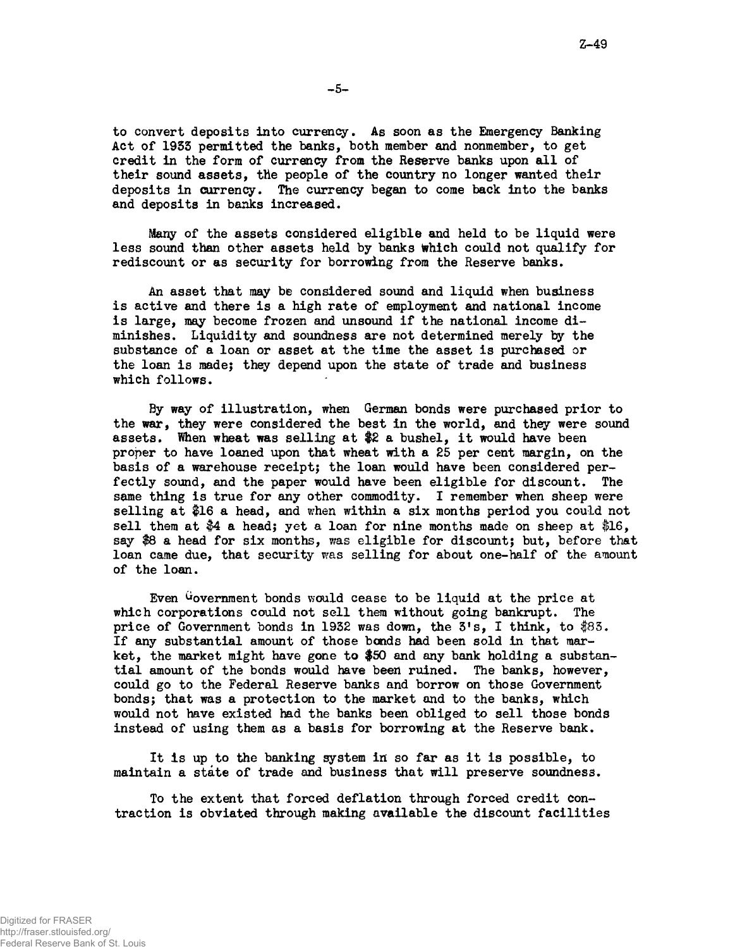to convert deposits into currency. As soon as the Emergency Banking Act of 19SS permitted the banks, both member and nonmember, to get credit in the form of currency from the Reserve banks upon all of their sound assets, the people of the country no longer wanted their deposits in currency. The currency began to come back into the banks and deposits in banks increased.

Many of the assets considered eligible and held to be liquid were less sound than other assets held by banks Which could not qualify for rediscount or as security for borrowing from the Reserve banks.

An asset that may be considered sound and liquid when business is active and there is a high rate of employment and national income is large, may become frozen and unsound if the national income diminishes. Liquidity and soundness are not determined merely by the substance of a loan or asset at the time the asset is purchased or the loan is made; they depend upon the state of trade and business which follows.

By way of illustration, when German bonds were purchased prior to the war, they were considered the best in the world, and they were sound assets. When wheat was selling at \$2 a bushel, it would have been proper to have loaned upon that wheat with a 25 per cent margin, on the basis of a warehouse receipt; the loan would have been considered perfectly sound, and the paper would have been eligible for discount. The same thing is true for any other commodity. I remember when sheep were selling at \$16 a head, and when within a six months period you could not sell them at  $$4$  a head; yet a loan for nine months made on sheep at  $$16$ , say \$8 a head for six months, was eligible for discount; but, before that loan came due, that security was selling for about one-half of the amount of the loan.

Even Government bonds would cease to be liquid at the price at which corporations could not sell them without going bankrupt. The price of Government bonds in 1932 was down, the  $3's$ , I think, to  $$83$ . If any substantial amount of those bonds had been sold in that market, the market might have gone to \$50 and any bank holding a substantial amount of the bonds would have been ruined. The banks, however, could go to the Federal Reserve banks and borrow on those Government bonds; that was a protection to the market and to the banks, which would not have existed had the banks been obliged to sell those bonds instead of using them as a basis for borrowing at the Reserve bank.

It is up to the banking system in so far as it is possible, to maintain a state of trade and business that will preserve soundness.

To the extent that forced deflation through forced credit contraction is obviated through making available the discount facilities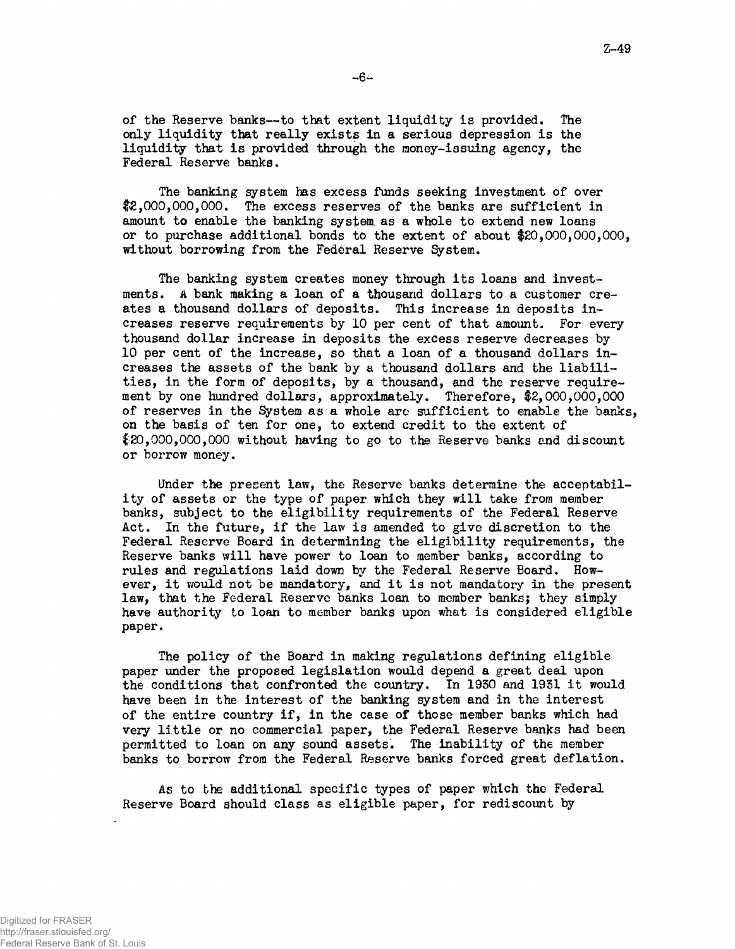of the Reserve banks—to that extent liquidity is provided. The only liquidity that really exists in a serious depression is the liquidity that is provided through the money-issuing agency, the Federal Reserve banks.

The banking system has excess funds seeking investment of over \$2,000,000,000. The excess reserves of the banks are sufficient in amount to enable the banking system, as a whole to extend new loans or to purchase additional bonds to the extent of about \$20,000,000,000, without borrowing from the Federal Reserve System.

The banking system creates money through its loans and investments. A bank making a loan of a thousand dollars to a customer creates a thousand dollars of deposits. This increase in deposits increases reserve requirements by 10 per cent of that amount. For every thousand dollar increase in deposits the excess reserve decreases by 10 per cent of the increase, so that a loan of a thousand dollars increases the assets of the bank by a thousand dollars and the liabilities, in the form of deposits, by a thousand, and the reserve requirement by one hundred dollars, approximately. Therefore, \$2,000,000,000 of reserves in the System as a whole arc sufficient to enable the banks, on the basis of ten for one, to extend credit to the extent of  $$20,000,000,000$  without having to go to the Reserve banks and discount or borrow money.

Under the present law, the Reserve banks determine the acceptability of assets or the type of paper which they will take from member banks, subject to the eligibility requirements of the Federal Reserve Act. In the future, if the law is amended to give discretion to the Federal Reserve Board in determining the eligibility requirements, the Reserve banks will have power to loan to member banks, according to rules and regulations laid down by the Federal Reserve Board. However, it would not be mandatory, and it is not mandatory in the present law, that the Federal Reserve banks loan to member banks; they simply have authority to loan to member banks upon what is considered eligible paper.

The policy of the Board in making regulations defining eligible paper under the proposed legislation would depend a great deal upon the conditions that confronted the country. In 1930 and 1931 it would have been in the interest of the banking system and in the interest of the entire country if, in the case of those member banks which had very little or no commercial paper, the Federal Reserve banks had been permitted to loan on any sound assets. The inability of the member banks to borrow from the Federal Reserve banks forced great deflation.

As to the additional specific types of paper which the Federal Reserve Board should class as eligible paper, for rediscount by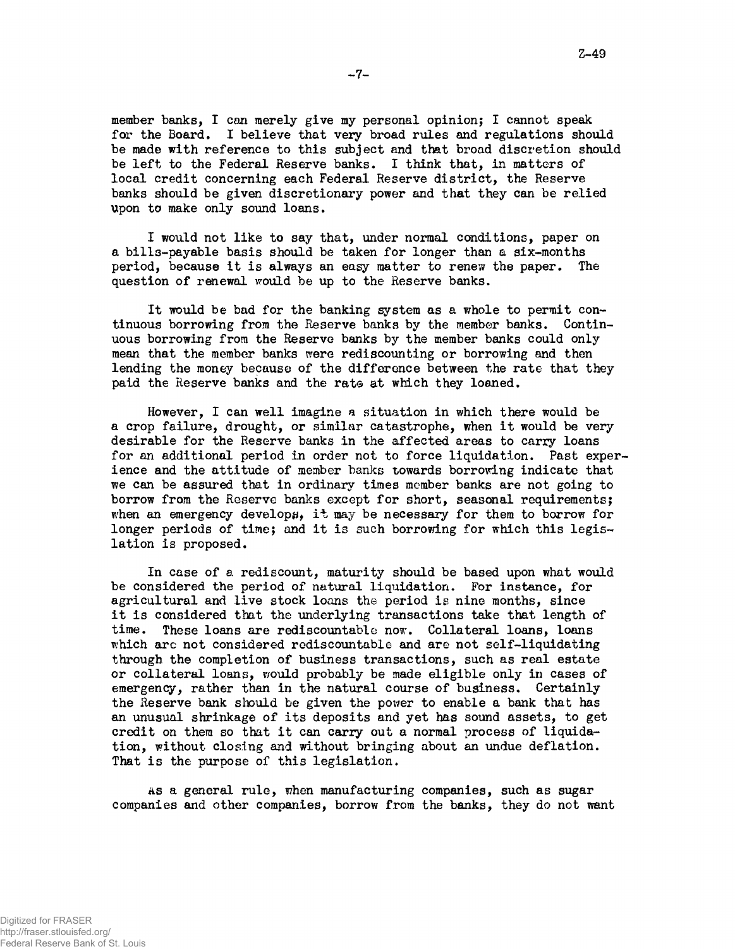member banks, I can merely give my personal opinion; I cannot speak for the Board. I believe that very broad rules and regulations should be made with reference to this subject and that broad discretion should be left to the Federal Reserve banks. I think that, in matters of local credit concerning each Federal Reserve district, the Reserve banks should be given discretionary power and that they can be relied upon to make only sound loans.

I would not like to say that, under normal conditions, paper on a bills-payable basis should be taken for longer than a six-months period, because it is always an easy matter to renew the paper. The question of renewal would be up to the Reserve banks.

It would be bad for the banking system as a whole to permit continuous borrowing from the Reserve banks by the member banks. Continuous borrowing from the Reserve banks by the member banks could only mean that the member banks were rediscounting or borrowing and then lending the money because of the difference between the rate that they paid the Reserve banks and the rate at which they loaned.

However, I can well imagine a situation in which there would be a crop failure, drought, or similar catastrophe, when it would be very desirable for the Reserve banks in the affected areas to carry loans for an additional period in order not to force liquidation. Past experience and the attitude of member banks towards borrowing indicate that we can be assured that in ordinary times member banks are not going to borrow from the Reserve banks except for short, seasonal requirements; when an emergency develops, it may be necessary for them to borrow for longer periods of time; and it is such borrowing for which this legislation is proposed.

In case of a rediscount, maturity should be based upon what would be considered the period of natural liquidation. For instance, for agricultural and live stock loans the period is nine months, since it is considered that the underlying transactions take that length of time. These loans are rediscountable now. Collateral loans, loans which arc not considered rodiscountable and are not self-liquidating through the completion of business transactions, such as real estate or collateral loans, would probably be made eligible only in cases of emergency, rather than in the natural course of business. Certainly the Reserve bank should be given the power to enable a bank that has an unusual shrinkage of its deposits and yet has sound assets, to get credit on them so that it can carry out a normal process of liquidation, without closing and without bringing about an undue deflation. That is the purpose of this legislation.

AS a general rule, when manufacturing companies, such as sugar companies and other companies, borrow from the banks, they do not want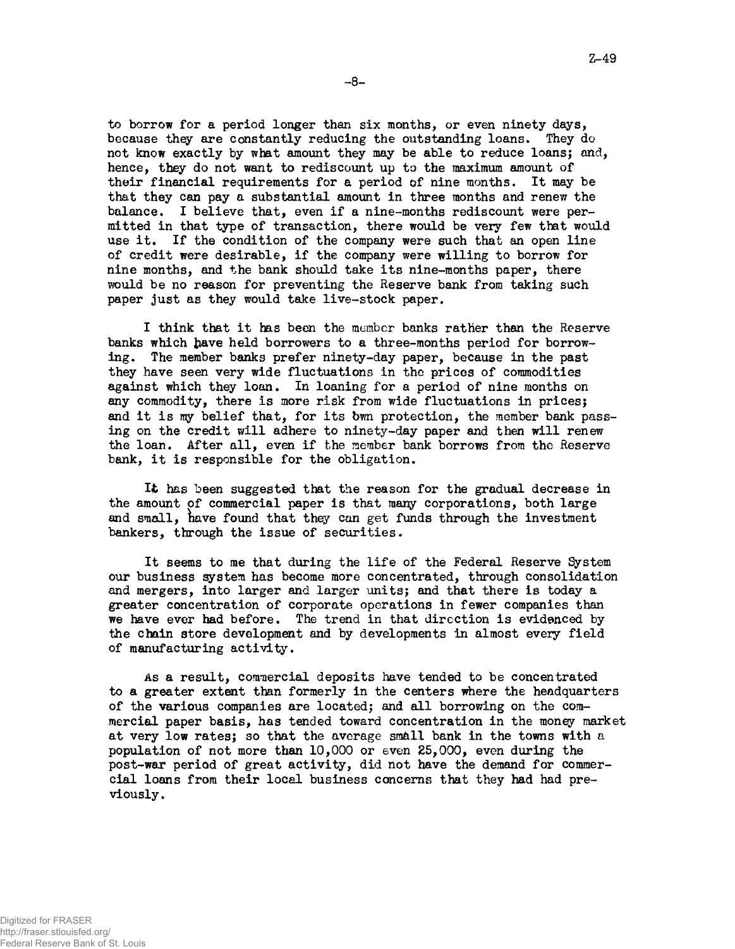to borrow for a period longer than six months, or even ninety days, because they are constantly reducing the outstanding loans. They do not know exactly by what amount they may be able to reduce loans; and, hence, they do not want to rediscount up to the maximum amount of their financial requirements for a period of nine months. It may be that they can pay a substantial amount in three months and renew the balance. I believe that, even if a nine-months rediscount were permitted in that type of transaction, there would be very few that would use it. If the condition of the company were such that an open line of credit were desirable, if the company were willing to borrow for nine months, and the bank should take its nine-months paper, there would be no reason for preventing the Reserve bank from taking such paper just as they would take live-stock paper.

I think that it has been the member banks rather than the Reserve banks which have held borrowers to a three-months period for borrowing. The member banks prefer ninety-day paper, because in the past they have seen very wide fluctuations in the prices of commodities against which they loan. In loaning for a period of nine months on any commodity, there is more risk from wide fluctuations in prices; and it is my belief that, for its bwn protection, the member bank passing on the credit will adhere to ninety-day paper and then will renew the loan. After all, even if the member bank borrows from the Reserve bank, it is responsible for the obligation.

It has been suggested that the reason for the gradual decrease in the amount of commercial paper is that many corporations, both large and small, have found that they can get funds through the investment bankers, through the issue of securities.

It seems to me that during the life of the Federal Reserve System our business system has become more concentrated, through consolidation and mergers, into larger and larger units; and that there is today a greater concentration of corporate operations in fewer companies than we have ever had before. The trend in that direction is evidenced by the chain store development and by developments in almost every field of manufacturing activity.

As a result, commercial deposits have tended to be concentrated to a greater extent than formerly in the centers where the headquarters of the various companies are located; and all borrowing on the commercial paper basis, has tended toward concentration in the money market at very low rates; so that the average small bank in the towns with a population of not more than 10,000 or even 25,000, even during the post-war period of great activity, did not have the demand for commercial loans from their local business concerns that they had had previously.